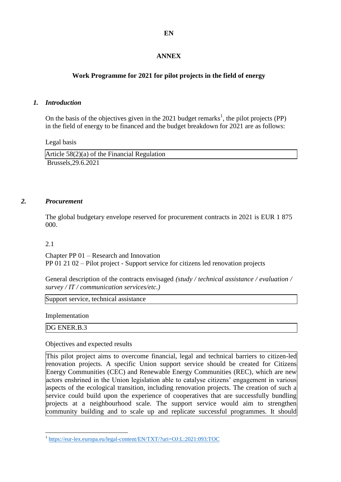## **ANNEX**

## **Work Programme for 2021 for pilot projects in the field of energy**

## *1. Introduction*

On the basis of the objectives given in the 2021 budget remarks<sup>1</sup>, the pilot projects (PP) in the field of energy to be financed and the budget breakdown for 2021 are as follows:

Legal basis

| Article $58(2)(a)$ of the Financial Regulation |  |
|------------------------------------------------|--|
| Brussels, 29.6.2021                            |  |

## *2. Procurement*

The global budgetary envelope reserved for procurement contracts in 2021 is EUR 1 875 000.

2.1

Chapter PP 01 – Research and Innovation PP 01 21 02 – Pilot project - Support service for citizens led renovation projects

General description of the contracts envisaged *(study / technical assistance / evaluation / survey / IT / communication services/etc.)*

Support service, technical assistance

Implementation

DG ENER.B.3

Objectives and expected results

This pilot project aims to overcome financial, legal and technical barriers to citizen-led renovation projects. A specific Union support service should be created for Citizens Energy Communities (CEC) and Renewable Energy Communities (REC), which are new actors enshrined in the Union legislation able to catalyse citizens' engagement in various aspects of the ecological transition, including renovation projects. The creation of such a service could build upon the experience of cooperatives that are successfully bundling projects at a neighbourhood scale. The support service would aim to strengthen community building and to scale up and replicate successful programmes. It should

 1 <https://eur-lex.europa.eu/legal-content/EN/TXT/?uri=OJ:L:2021:093:TOC>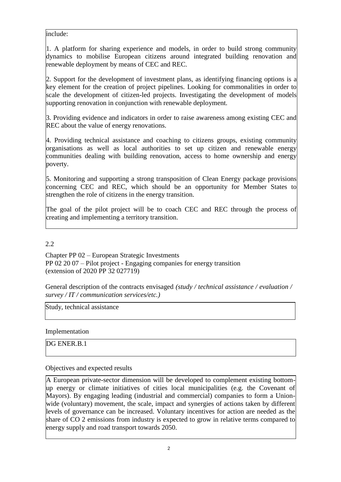include:

1. A platform for sharing experience and models, in order to build strong community dynamics to mobilise European citizens around integrated building renovation and renewable deployment by means of CEC and REC.

2. Support for the development of investment plans, as identifying financing options is a key element for the creation of project pipelines. Looking for commonalities in order to scale the development of citizen-led projects. Investigating the development of models supporting renovation in conjunction with renewable deployment.

3. Providing evidence and indicators in order to raise awareness among existing CEC and REC about the value of energy renovations.

4. Providing technical assistance and coaching to citizens groups, existing community organisations as well as local authorities to set up citizen and renewable energy communities dealing with building renovation, access to home ownership and energy poverty.

5. Monitoring and supporting a strong transposition of Clean Energy package provisions concerning CEC and REC, which should be an opportunity for Member States to strengthen the role of citizens in the energy transition.

The goal of the pilot project will be to coach CEC and REC through the process of creating and implementing a territory transition.

2.2

Chapter PP 02 – European Strategic Investments PP 02 20 07 – Pilot project - Engaging companies for energy transition (extension of 2020 PP 32 027719)

General description of the contracts envisaged *(study / technical assistance / evaluation / survey / IT / communication services/etc.)*

Study, technical assistance

Implementation

DG ENER.B.1

Objectives and expected results

A European private-sector dimension will be developed to complement existing bottomup energy or climate initiatives of cities local municipalities (e.g. the Covenant of Mayors). By engaging leading (industrial and commercial) companies to form a Unionwide (voluntary) movement, the scale, impact and synergies of actions taken by different levels of governance can be increased. Voluntary incentives for action are needed as the share of CO 2 emissions from industry is expected to grow in relative terms compared to energy supply and road transport towards 2050.